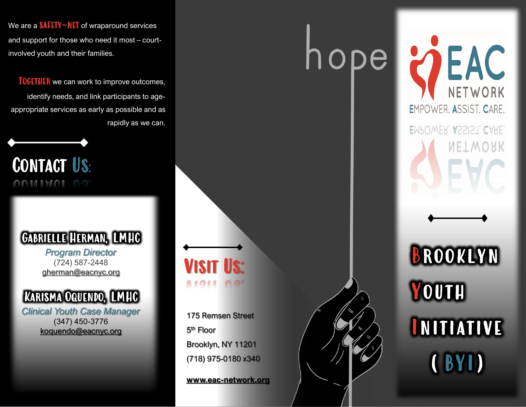We are a  $\text{SAFFV-NET}$  of wraparound services and support for those who need it most – courtinvolved youth and their families.

**TOGETHER** we can work to improve outcomes, identify needs, and link participants to ageappropriate services as early as possible and as rapidly as we can.

Contact Us: OOMIMOL 00

## Gabrielle Herman, LMHC

*Program Director* (724) 587-2448 [gherman@eacnyc.org](mailto:gherman@eacnyc.org)



*Clinical Youth Case Manager* (347) 450-3776 koquendo@eacnyc.org

**VISIT US: AIOIE** 

175 Remsen Street 5<sup>th</sup> Floor Brooklyn, NY 11201 (718) 975-0180 x340

**www.eac-network.org**